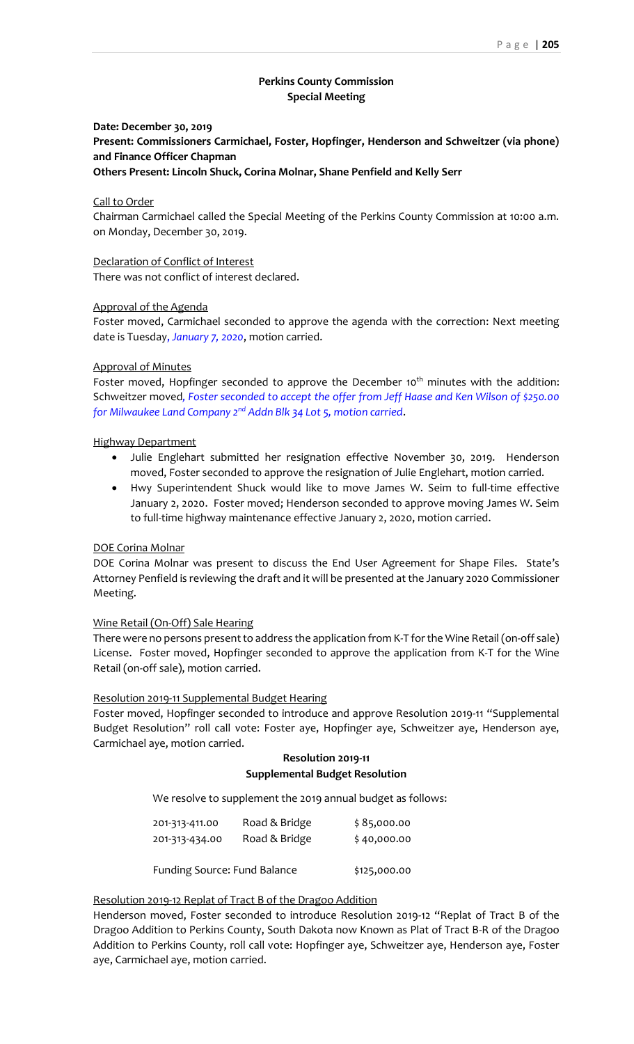## **Perkins County Commission Special Meeting**

## **Date: December 30, 2019 Present: Commissioners Carmichael, Foster, Hopfinger, Henderson and Schweitzer (via phone) and Finance Officer Chapman Others Present: Lincoln Shuck, Corina Molnar, Shane Penfield and Kelly Serr**

#### Call to Order

Chairman Carmichael called the Special Meeting of the Perkins County Commission at 10:00 a.m. on Monday, December 30, 2019.

Declaration of Conflict of Interest There was not conflict of interest declared.

#### Approval of the Agenda

Foster moved, Carmichael seconded to approve the agenda with the correction: Next meeting date is Tuesday, *January 7, 2020*, motion carried.

#### Approval of Minutes

Foster moved, Hopfinger seconded to approve the December 10<sup>th</sup> minutes with the addition: Schweitzer moved*, Foster seconded to accept the offer from Jeff Haase and Ken Wilson of \$250.00 for Milwaukee Land Company 2nd Addn Blk 34 Lot 5, motion carried*.

#### Highway Department

- Julie Englehart submitted her resignation effective November 30, 2019. Henderson moved, Foster seconded to approve the resignation of Julie Englehart, motion carried.
- Hwy Superintendent Shuck would like to move James W. Seim to full-time effective January 2, 2020. Foster moved; Henderson seconded to approve moving James W. Seim to full-time highway maintenance effective January 2, 2020, motion carried.

### DOE Corina Molnar

DOE Corina Molnar was present to discuss the End User Agreement for Shape Files. State's Attorney Penfield is reviewing the draft and it will be presented at the January 2020 Commissioner Meeting.

### Wine Retail (On-Off) Sale Hearing

There were no persons present to address the application from K-T for the Wine Retail (on-off sale) License. Foster moved, Hopfinger seconded to approve the application from K-T for the Wine Retail (on-off sale), motion carried.

### Resolution 2019-11 Supplemental Budget Hearing

Foster moved, Hopfinger seconded to introduce and approve Resolution 2019-11 "Supplemental Budget Resolution" roll call vote: Foster aye, Hopfinger aye, Schweitzer aye, Henderson aye, Carmichael aye, motion carried.

## **Resolution 2019-11 Supplemental Budget Resolution**

We resolve to supplement the 2019 annual budget as follows:

| 201-313-411.00 | Road & Bridge | \$85,000.00 |
|----------------|---------------|-------------|
| 201-313-434.00 | Road & Bridge | \$40,000.00 |

Funding Source: Fund Balance  $\frac{1}{2}$  \$125,000.00

### Resolution 2019-12 Replat of Tract B of the Dragoo Addition

Henderson moved, Foster seconded to introduce Resolution 2019-12 "Replat of Tract B of the Dragoo Addition to Perkins County, South Dakota now Known as Plat of Tract B-R of the Dragoo Addition to Perkins County, roll call vote: Hopfinger aye, Schweitzer aye, Henderson aye, Foster aye, Carmichael aye, motion carried.